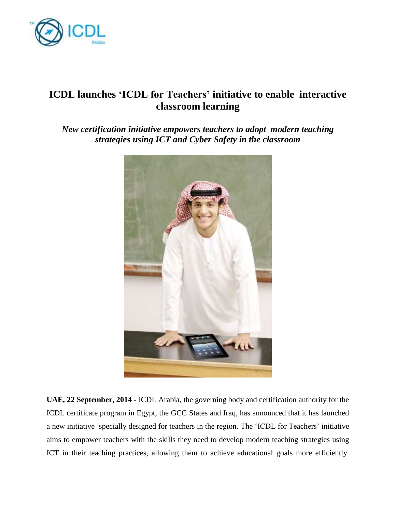

## **ICDL launches 'ICDL for Teachers' initiative to enable interactive classroom learning**

*New certification initiative empowers teachers to adopt modern teaching strategies using ICT and Cyber Safety in the classroom*



**UAE, 22 September, 2014 -** ICDL Arabia, the governing body and certification authority for the ICDL certificate program in Egypt, the GCC States and Iraq, has announced that it has launched a new initiative specially designed for teachers in the region. The 'ICDL for Teachers' initiative aims to empower teachers with the skills they need to develop modern teaching strategies using ICT in their teaching practices, allowing them to achieve educational goals more efficiently.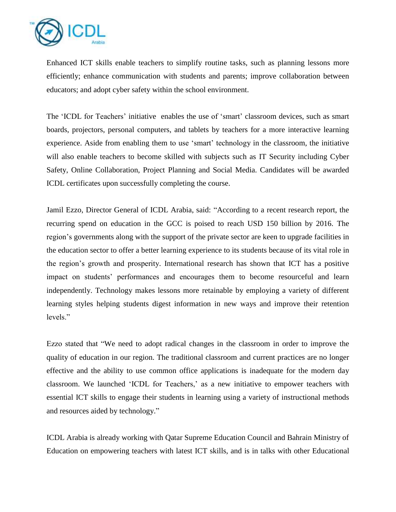

Enhanced ICT skills enable teachers to simplify routine tasks, such as planning lessons more efficiently; enhance communication with students and parents; improve collaboration between educators; and adopt cyber safety within the school environment.

The 'ICDL for Teachers' initiative enables the use of 'smart' classroom devices, such as smart boards, projectors, personal computers, and tablets by teachers for a more interactive learning experience. Aside from enabling them to use 'smart' technology in the classroom, the initiative will also enable teachers to become skilled with subjects such as IT Security including Cyber Safety, Online Collaboration, Project Planning and Social Media. Candidates will be awarded ICDL certificates upon successfully completing the course.

Jamil Ezzo, Director General of ICDL Arabia, said: "According to a recent research report, the recurring spend on education in the GCC is poised to reach USD 150 billion by 2016. The region's governments along with the support of the private sector are keen to upgrade facilities in the education sector to offer a better learning experience to its students because of its vital role in the region's growth and prosperity. International research has shown that ICT has a positive impact on students' performances and encourages them to become resourceful and learn independently. Technology makes lessons more retainable by employing a variety of different learning styles helping students digest information in new ways and improve their retention levels."

Ezzo stated that "We need to adopt radical changes in the classroom in order to improve the quality of education in our region. The traditional classroom and current practices are no longer effective and the ability to use common office applications is inadequate for the modern day classroom. We launched 'ICDL for Teachers,' as a new initiative to empower teachers with essential ICT skills to engage their students in learning using a variety of instructional methods and resources aided by technology."

ICDL Arabia is already working with Qatar Supreme Education Council and Bahrain Ministry of Education on empowering teachers with latest ICT skills, and is in talks with other Educational